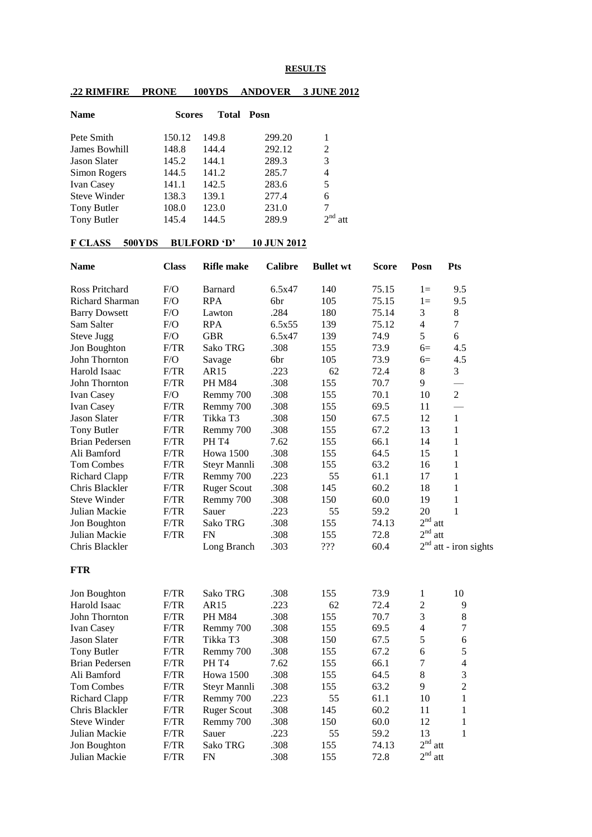## **RESULTS**

## **.22 RIMFIRE PRONE 100YDS ANDOVER 3 JUNE 2012**

| <b>Name</b>         | <b>Scores</b> | Total | Posn   |     |
|---------------------|---------------|-------|--------|-----|
| Pete Smith          | 150.12        | 149.8 | 299.20 |     |
| James Bowhill       | 148.8         | 144.4 | 292.12 | 2   |
| <b>Jason Slater</b> | 145.2         | 144.1 | 289.3  | 3   |
| Simon Rogers        | 144.5         | 141.2 | 285.7  | 4   |
| <b>Ivan Casey</b>   | 141.1         | 142.5 | 283.6  | 5   |
| <b>Steve Winder</b> | 138.3         | 139.1 | 277.4  | 6   |
| Tony Butler         | 108.0         | 123.0 | 231.0  | 7   |
| Tony Butler         | 145.4         | 144.5 | 289.9  | att |

## **F CLASS 500YDS BULFORD 'D' 10 JUN 2012**

| <b>Name</b>           | <b>Class</b> | <b>Rifle</b> make  | <b>Calibre</b> | <b>Bullet wt</b> | <b>Score</b> | Posn                   | Pts               |
|-----------------------|--------------|--------------------|----------------|------------------|--------------|------------------------|-------------------|
| Ross Pritchard        | F/O          | <b>Barnard</b>     | 6.5x47         | 140              | 75.15        | $1 =$                  | 9.5               |
| Richard Sharman       | F/O          | <b>RPA</b>         | 6br            | 105              | 75.15        | $1 =$                  | 9.5               |
| <b>Barry Dowsett</b>  | F/O          | Lawton             | .284           | 180              | 75.14        | 3                      | 8                 |
| Sam Salter            | F/O          | <b>RPA</b>         | 6.5x55         | 139              | 75.12        | $\overline{4}$         | $\tau$            |
| Steve Jugg            | F/O          | <b>GBR</b>         | 6.5x47         | 139              | 74.9         | 5                      | 6                 |
| Jon Boughton          | F/TR         | Sako TRG           | .308           | 155              | 73.9         | $6=$                   | 4.5               |
| John Thornton         | ${\rm F/O}$  | Savage             | 6br            | 105              | 73.9         | $6=$                   | 4.5               |
| Harold Isaac          | F/TR         | AR15               | .223           | 62               | 72.4         | 8                      | 3                 |
| John Thornton         | F/TR         | <b>PH M84</b>      | .308           | 155              | 70.7         | 9                      |                   |
| Ivan Casey            | F/O          | Remmy 700          | .308           | 155              | 70.1         | 10                     | $\overline{2}$    |
| Ivan Casey            | F/TR         | Remmy 700          | .308           | 155              | 69.5         | 11                     |                   |
| <b>Jason Slater</b>   | F/TR         | Tikka T3           | .308           | 150              | 67.5         | 12                     | $\mathbf{1}$      |
| <b>Tony Butler</b>    | F/TR         | Remmy 700          | .308           | 155              | 67.2         | 13                     | 1                 |
| <b>Brian Pedersen</b> | F/TR         | PH T <sub>4</sub>  | 7.62           | 155              | 66.1         | 14                     | $\mathbf{1}$      |
| Ali Bamford           | F/TR         | <b>Howa 1500</b>   | .308           | 155              | 64.5         | 15                     | $\mathbf{1}$      |
| Tom Combes            | F/TR         | Steyr Mannli       | .308           | 155              | 63.2         | 16                     | $\mathbf{1}$      |
| <b>Richard Clapp</b>  | F/TR         | Remmy 700          | .223           | 55               | 61.1         | 17                     | 1                 |
| Chris Blackler        | F/TR         | <b>Ruger Scout</b> | .308           | 145              | 60.2         | 18                     | $\mathbf{1}$      |
| <b>Steve Winder</b>   | F/TR         | Remmy 700          | .308           | 150              | 60.0         | 19                     | 1                 |
| Julian Mackie         | F/TR         | Sauer              | .223           | 55               | 59.2         | 20                     | 1                 |
| Jon Boughton          | F/TR         | Sako TRG           | .308           | 155              | 74.13        | $2nd$ att              |                   |
| Julian Mackie         | F/TR         | <b>FN</b>          | .308           | 155              | 72.8         | 2 <sup>nd</sup><br>att |                   |
| Chris Blackler        |              | Long Branch        | .303           | ???              | 60.4         | 2 <sup>nd</sup>        | att - iron sights |
| <b>FTR</b>            |              |                    |                |                  |              |                        |                   |
| Jon Boughton          | F/TR         | Sako TRG           | .308           | 155              | 73.9         | $\mathbf{1}$           | 10                |
| Harold Isaac          | F/TR         | AR15               | .223           | 62               | 72.4         | $\overline{c}$         | 9                 |
| John Thornton         | F/TR         | <b>PH M84</b>      | .308           | 155              | 70.7         | 3                      | $8\,$             |
| Ivan Casey            | F/TR         | Remmy 700          | .308           | 155              | 69.5         | $\overline{4}$         | $\boldsymbol{7}$  |
| <b>Jason Slater</b>   | F/TR         | Tikka T3           | .308           | 150              | 67.5         | 5                      | 6                 |
| Tony Butler           | F/TR         | Remmy 700          | .308           | 155              | 67.2         | 6                      | 5                 |
| <b>Brian Pedersen</b> | F/TR         | PH T <sub>4</sub>  | 7.62           | 155              | 66.1         | $\overline{7}$         | $\overline{4}$    |
| Ali Bamford           | F/TR         | <b>Howa</b> 1500   | .308           | 155              | 64.5         | $\,8\,$                | 3                 |
| <b>Tom Combes</b>     | F/TR         | Steyr Mannli       | .308           | 155              | 63.2         | 9                      | $\overline{2}$    |
| <b>Richard Clapp</b>  | F/TR         | Remmy 700          | .223           | 55               | 61.1         | 10                     | $\mathbf{1}$      |
| Chris Blackler        | F/TR         | <b>Ruger Scout</b> | .308           | 145              | 60.2         | 11                     | $\mathbf{1}$      |
| <b>Steve Winder</b>   | F/TR         | Remmy 700          | .308           | 150              | 60.0         | 12                     | $\mathbf{1}$      |
| Julian Mackie         | F/TR         | Sauer              | .223           | 55               | 59.2         | 13                     | $\mathbf{1}$      |
| Jon Boughton          | F/TR         | <b>Sako TRG</b>    | .308           | 155              | 74.13        | $2nd$ att              |                   |
| Julian Mackie         | F/TR         | <b>FN</b>          | .308           | 155              | 72.8         | 2 <sup>nd</sup><br>att |                   |